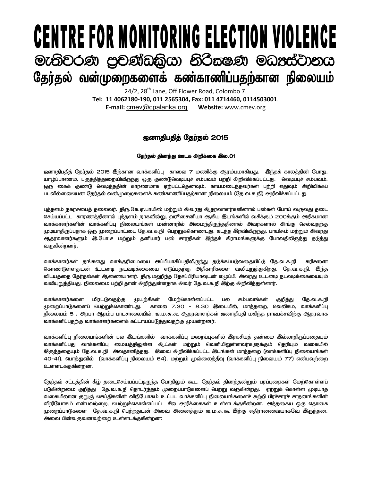## **CENTRE FOR MONITORING ELECTION VIOLENCE** මැතිවරණ පුචණ්ඩකිුයා නිරිකෂණ මධාප්ටානය தேர்தல் வன்முறைகளைக் கண்காணிப்பதற்கான நிலையம்

24/2, 28<sup>th</sup> Lane, Off Flower Road, Colombo 7. **Tel: 11 4062180-190, 011 2565304, Fax: 011 4714460, 0114503001**. **E-mail:** [cmev@cpalanka.org](mailto:cmev@cpalanka.org) **Website:** www.cmev.org

## [dhjpgjpj; Nju;jy; 2015

## நேர்தல் தினத்து ஊடக அறிக்கை இல.01

ஜனாதிபதித் தேர்தல் 2015 இற்கான வாக்களிப்பு காலை 7 மணிக்கு ஆரம்பமாகியது. இந்தக் காலத்தின் போது, யாழ்ப்பாணம், பருத்தித்துறையிலிருந்து ஒரு குண்டுவெடிப்புச் சம்பவம் பற்றி அறிவிக்கப்பட்டது. வெடிப்புச் சம்பவம், ஒரு கைக் குண்டு வெடித்ததின் காரணமாக ஏற்பட்டதெனவும், காயமடைந்தவர்கள் பற்றி எதுவும் அறிவிக்கப் படவில்லையென தேர்தல் வன்முறைகளைக் கண்காணிப்பதற்கான நிலையம் (தே.வ.க.நி) அறிவிக்கப்பட்டது.

புத்தளம் நகரசபைத் தலைவர். திரு.கே.ஏ.பாயிஸ் மற்றும் அவரது ஆதரவாளர்களினால் பஸ்கள் போய் வருவது தடை செய்யப்பட்ட காரணத்தினால் புத்தளம் நாகவில்லு, ஹூசைனியா ஆகிய இடங்களில் வசிக்கும் 200க்கும் அதிகமான வாக்காளர்களின் வாக்களிப்பு நிலையங்கள் மன்னாரில் அமைந்திருந்ததினால் அவர்களால் அங்கு செல்வதற்கு முடியாதிருப்பதாக ஒரு முறைப்பாட்டை தே.வ.க.நி பெற்றுக்கொண்டது. கடந்த இரவிலிருந்து, பாயிசும் மற்றும் அவரது ஆதரவாளர்களும் இ.போ.ச மற்றும் தனியார் பஸ் சாரதிகள் இந்தக் கிராமங்களுக்கு போவதிலிருந்து தடுத்து வருகின்றனர்.

வாக்காளர்கள் கங்களது வாக்கரிமையை அப்பியாசிப்பகிலிருந்து கடுக்கப்படுவகையிட்டு கே.வ.க.நி. கரிசனை கொண்டுள்ளதுடன் உடனடி நடவடிக்கையை எடுப்பதற்கு அதிகாரிகளை வலியுறுத்துகிறது. தே.வ.க.நி. இந்த விடயத்தை தேர்தல்கள் ஆணையாளர், திரு.மஹிந்த தேசப்பிரியாவுடன் எழுப்பி, அவரது உடனடி நடவடிக்கையையும் வலியுறுத்தியது. நிலைமை பற்றி தான் அறிந்துள்ளதாக அவர் தே.வ.க.நி இற்கு அறிவித்துள்ளார்.

வாக்காளர்களை மிரட்டுவதற்கு முயற்சிகள் மேற்கொள்ளப்பட்ட பல சம்பவங்கள் குறித்து தே.வ.க.நி முறைப்பாடுகளைப் பெற்றுக்கொண்டது. காலை 7.30 - 8.30 இடையில், மாத்தறை, வெலிகம, வாக்களிப்பு நிலையம் 5 , அரபா ஆரம்ப பாடசாலையில், ஐ.ம.சு.கூ ஆதரவாளர்கள் ஜனாதிபதி மகிந்த ராஜபக்சவிற்கு ஆதரவாக வாக்களிப்பதற்கு வாக்காளர்களைக் கட்டாயப்படுத்துவதற்கு முயன்றனர்.

வாக்களிப்பு நிலையங்களின் பல இடங்களில் வாக்களிப்பு மறைப்புகளில் இரகசியத் தன்மை இல்லாதிருப்பதையும் வாக்களிப்பது வாக்களிப்பு மையத்திலுள்ள ஆட்கள் மற்றும் வெளியிலுள்ளவர்களுக்கும் தெரியும் வகையில் இருந்ததையும் தே.வ.க.நி அவதானித்தது. இவை அறிவிக்கப்பட்ட இடங்கள் மாத்தறை (வாக்களிப்பு நிலையங்கள் 40-41). பொத்துவில் (வாக்களிப்பு நிலையம் 64). மற்றும் முல்லைத்தீவு (வாக்களிப்பு நிலையம் 77) என்பவற்றை உள்ளடக்குகின்றன.

கேர்கல் சட்டக்கின் கீம் கடைசெய்யப்பட்டிருந்த போகிலும் கூட, கேர்கல் கினக்கன்றும் பரப்பரைகள் மேற்கொள்ளப் படுகின்றமை குறித்து தே.வ.க.நி தொடர்ந்தும் முறைப்பாடுகளைப் பெற்று வருகின்றது. ஏற்றுக் கொள்ள முடியாத வகையிலான குறுஞ் செய்திகளின் விநியோகம் உட்பட வாக்களிப்பு நிலையங்களைச் சுற்றி பிரச்சாரச் சாகனங்களின் விநியோகம் என்பவற்றை, பெற்றுக்கொள்ளப்பட்ட சில அறிக்கைகள் உள்ளடக்குகின்றன. அத்தகைய ஒரு தொகை முறைப்பாடுகளை தே.வ.க.நி பெற்றதுடன் அவை அனைத்தும் ஐ.ம.சு.கூ இற்கு எதிரானவையாகவே இருந்தன. அவை பின்வருவனவற்றை உள்ளடக்குகின்றன: